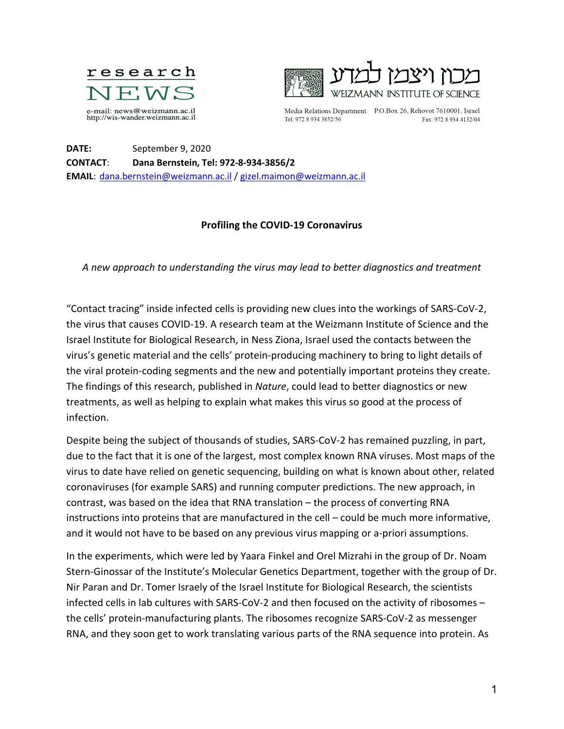



Tel: 972 8 934 3852/56

Media Relations Department P.O.Box 26, Rehovot 7610001, Israel Fax: 972 8 934 4132/04

**DATE:** September 9, 2020 **CONTACT**: **Dana Bernstein, Tel: 972-8-934-3856/2 EMAIL**: [dana.bernstein@weizmann.ac.il](mailto:dana.bernstein@weizmann.ac.il) / [gizel.maimon@weizmann.ac.il](mailto:gizel.maimon@weizmann.ac.il)

## **Profiling the COVID-19 Coronavirus**

*A new approach to understanding the virus may lead to better diagnostics and treatment*

"Contact tracing" inside infected cells is providing new clues into the workings of SARS-CoV-2, the virus that causes COVID-19. A research team at the Weizmann Institute of Science and the Israel Institute for Biological Research, in Ness Ziona, Israel used the contacts between the virus's genetic material and the cells' protein-producing machinery to bring to light details of the viral protein-coding segments and the new and potentially important proteins they create. The findings of this research, published in *Nature*, could lead to better diagnostics or new treatments, as well as helping to explain what makes this virus so good at the process of infection.

Despite being the subject of thousands of studies, SARS-CoV-2 has remained puzzling, in part, due to the fact that it is one of the largest, most complex known RNA viruses. Most maps of the virus to date have relied on genetic sequencing, building on what is known about other, related coronaviruses (for example SARS) and running computer predictions. The new approach, in contrast, was based on the idea that RNA translation – the process of converting RNA instructions into proteins that are manufactured in the cell – could be much more informative, and it would not have to be based on any previous virus mapping or a-priori assumptions.

In the experiments, which were led by Yaara Finkel and Orel Mizrahi in the group of Dr. Noam Stern-Ginossar of the Institute's Molecular Genetics Department, together with the group of Dr. Nir Paran and Dr. Tomer Israely of the Israel Institute for Biological Research, the scientists infected cells in lab cultures with SARS-CoV-2 and then focused on the activity of ribosomes – the cells' protein-manufacturing plants. The ribosomes recognize SARS-CoV-2 as messenger RNA, and they soon get to work translating various parts of the RNA sequence into protein. As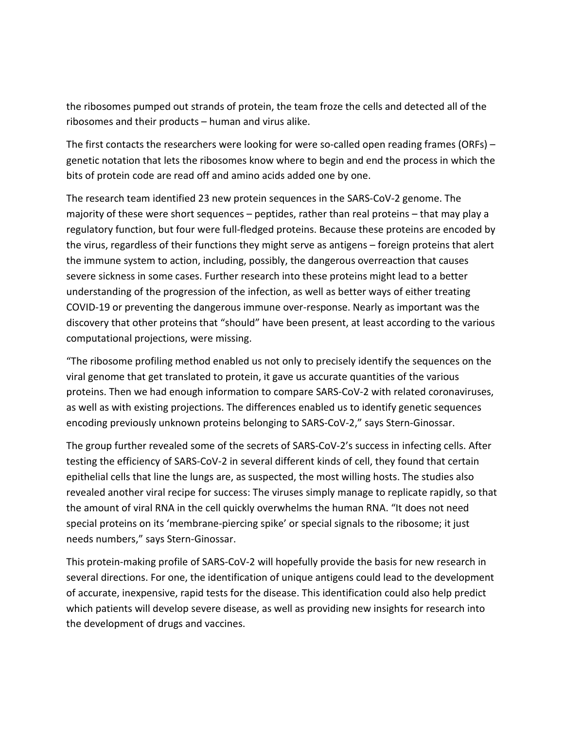the ribosomes pumped out strands of protein, the team froze the cells and detected all of the ribosomes and their products – human and virus alike.

The first contacts the researchers were looking for were so-called open reading frames (ORFs) – genetic notation that lets the ribosomes know where to begin and end the process in which the bits of protein code are read off and amino acids added one by one.

The research team identified 23 new protein sequences in the SARS-CoV-2 genome. The majority of these were short sequences – peptides, rather than real proteins – that may play a regulatory function, but four were full-fledged proteins. Because these proteins are encoded by the virus, regardless of their functions they might serve as antigens – foreign proteins that alert the immune system to action, including, possibly, the dangerous overreaction that causes severe sickness in some cases. Further research into these proteins might lead to a better understanding of the progression of the infection, as well as better ways of either treating COVID-19 or preventing the dangerous immune over-response. Nearly as important was the discovery that other proteins that "should" have been present, at least according to the various computational projections, were missing.

"The ribosome profiling method enabled us not only to precisely identify the sequences on the viral genome that get translated to protein, it gave us accurate quantities of the various proteins. Then we had enough information to compare SARS-CoV-2 with related coronaviruses, as well as with existing projections. The differences enabled us to identify genetic sequences encoding previously unknown proteins belonging to SARS-CoV-2," says Stern-Ginossar.

The group further revealed some of the secrets of SARS-CoV-2's success in infecting cells. After testing the efficiency of SARS-CoV-2 in several different kinds of cell, they found that certain epithelial cells that line the lungs are, as suspected, the most willing hosts. The studies also revealed another viral recipe for success: The viruses simply manage to replicate rapidly, so that the amount of viral RNA in the cell quickly overwhelms the human RNA. "It does not need special proteins on its 'membrane-piercing spike' or special signals to the ribosome; it just needs numbers," says Stern-Ginossar.

This protein-making profile of SARS-CoV-2 will hopefully provide the basis for new research in several directions. For one, the identification of unique antigens could lead to the development of accurate, inexpensive, rapid tests for the disease. This identification could also help predict which patients will develop severe disease, as well as providing new insights for research into the development of drugs and vaccines.